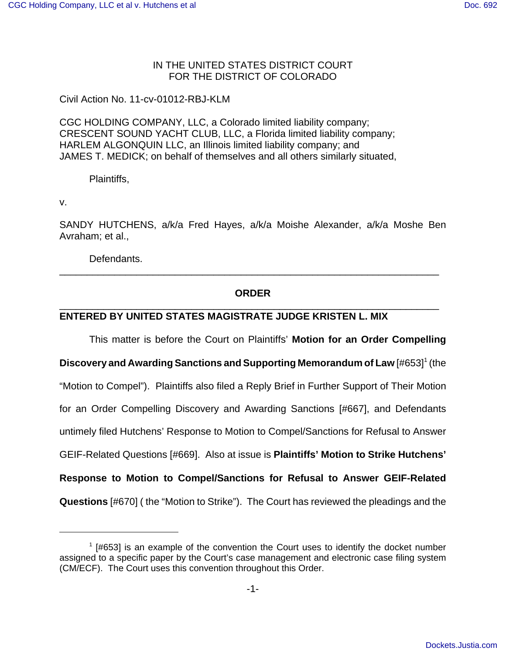## IN THE UNITED STATES DISTRICT COURT FOR THE DISTRICT OF COLORADO

Civil Action No. 11-cv-01012-RBJ-KLM

CGC HOLDING COMPANY, LLC, a Colorado limited liability company; CRESCENT SOUND YACHT CLUB, LLC, a Florida limited liability company; HARLEM ALGONQUIN LLC, an Illinois limited liability company; and JAMES T. MEDICK; on behalf of themselves and all others similarly situated,

Plaintiffs,

v.

SANDY HUTCHENS, a/k/a Fred Hayes, a/k/a Moishe Alexander, a/k/a Moshe Ben Avraham; et al.,

Defendants.

## **ORDER** \_\_\_\_\_\_\_\_\_\_\_\_\_\_\_\_\_\_\_\_\_\_\_\_\_\_\_\_\_\_\_\_\_\_\_\_\_\_\_\_\_\_\_\_\_\_\_\_\_\_\_\_\_\_\_\_\_\_\_\_\_\_\_\_\_\_\_\_\_

\_\_\_\_\_\_\_\_\_\_\_\_\_\_\_\_\_\_\_\_\_\_\_\_\_\_\_\_\_\_\_\_\_\_\_\_\_\_\_\_\_\_\_\_\_\_\_\_\_\_\_\_\_\_\_\_\_\_\_\_\_\_\_\_\_\_\_\_\_

## **ENTERED BY UNITED STATES MAGISTRATE JUDGE KRISTEN L. MIX**

This matter is before the Court on Plaintiffs' **Motion for an Order Compelling**

**Discovery and Awarding Sanctions and Supporting Memorandum of Law [#653]<sup>1</sup> (the** "Motion to Compel"). Plaintiffs also filed a Reply Brief in Further Support of Their Motion for an Order Compelling Discovery and Awarding Sanctions [#667], and Defendants untimely filed Hutchens' Response to Motion to Compel/Sanctions for Refusal to Answer GEIF-Related Questions [#669]. Also at issue is **Plaintiffs' Motion to Strike Hutchens' Response to Motion to Compel/Sanctions for Refusal to Answer GEIF-Related Questions** [#670] ( the "Motion to Strike"). The Court has reviewed the pleadings and the

 $1$  [#653] is an example of the convention the Court uses to identify the docket number assigned to a specific paper by the Court's case management and electronic case filing system (CM/ECF). The Court uses this convention throughout this Order.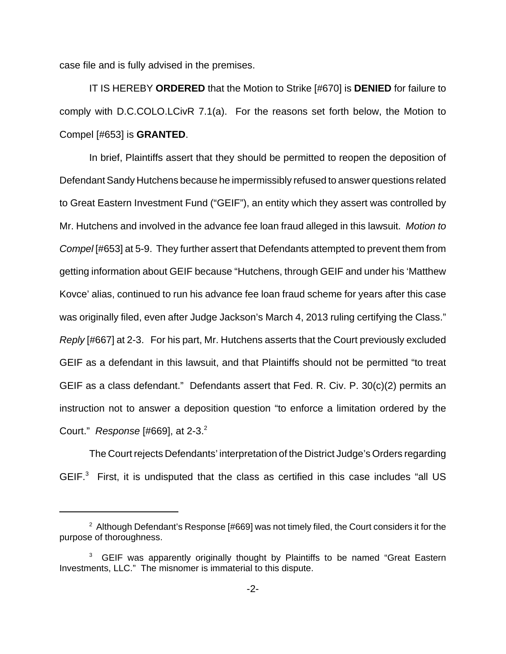case file and is fully advised in the premises.

IT IS HEREBY **ORDERED** that the Motion to Strike [#670] is **DENIED** for failure to comply with D.C.COLO.LCivR 7.1(a). For the reasons set forth below, the Motion to Compel [#653] is **GRANTED**.

In brief, Plaintiffs assert that they should be permitted to reopen the deposition of Defendant Sandy Hutchens because he impermissibly refused to answer questions related to Great Eastern Investment Fund ("GEIF"), an entity which they assert was controlled by Mr. Hutchens and involved in the advance fee loan fraud alleged in this lawsuit. Motion to Compel [#653] at 5-9. They further assert that Defendants attempted to prevent them from getting information about GEIF because "Hutchens, through GEIF and under his 'Matthew Kovce' alias, continued to run his advance fee loan fraud scheme for years after this case was originally filed, even after Judge Jackson's March 4, 2013 ruling certifying the Class." Reply [#667] at 2-3. For his part, Mr. Hutchens asserts that the Court previously excluded GEIF as a defendant in this lawsuit, and that Plaintiffs should not be permitted "to treat GEIF as a class defendant." Defendants assert that Fed. R. Civ. P. 30(c)(2) permits an instruction not to answer a deposition question "to enforce a limitation ordered by the Court." Response  $[#669]$ , at 2-3.<sup>2</sup>

The Court rejects Defendants' interpretation of the District Judge's Orders regarding GEIF. $3$  First, it is undisputed that the class as certified in this case includes "all US

 $2$  Although Defendant's Response [#669] was not timely filed, the Court considers it for the purpose of thoroughness.

 $3$  GEIF was apparently originally thought by Plaintiffs to be named "Great Eastern Investments, LLC." The misnomer is immaterial to this dispute.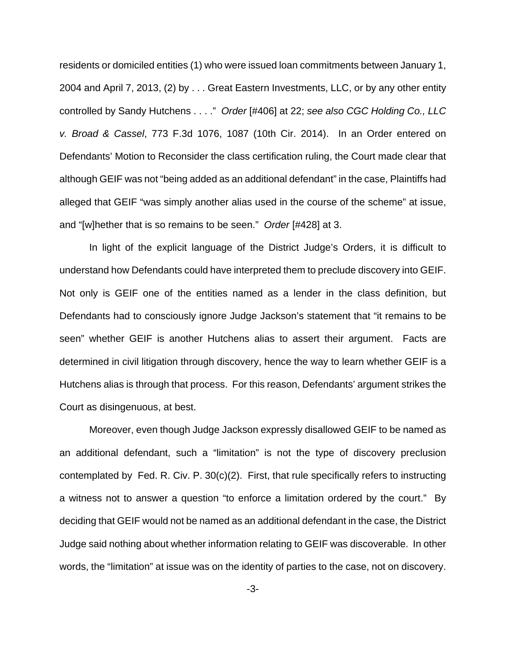residents or domiciled entities (1) who were issued loan commitments between January 1, 2004 and April 7, 2013, (2) by . . . Great Eastern Investments, LLC, or by any other entity controlled by Sandy Hutchens . . . ." Order [#406] at 22; see also CGC Holding Co., LLC v. Broad & Cassel, 773 F.3d 1076, 1087 (10th Cir. 2014). In an Order entered on Defendants' Motion to Reconsider the class certification ruling, the Court made clear that although GEIF was not "being added as an additional defendant" in the case, Plaintiffs had alleged that GEIF "was simply another alias used in the course of the scheme" at issue, and "[w]hether that is so remains to be seen." Order [#428] at 3.

In light of the explicit language of the District Judge's Orders, it is difficult to understand how Defendants could have interpreted them to preclude discovery into GEIF. Not only is GEIF one of the entities named as a lender in the class definition, but Defendants had to consciously ignore Judge Jackson's statement that "it remains to be seen" whether GEIF is another Hutchens alias to assert their argument. Facts are determined in civil litigation through discovery, hence the way to learn whether GEIF is a Hutchens alias is through that process. For this reason, Defendants' argument strikes the Court as disingenuous, at best.

Moreover, even though Judge Jackson expressly disallowed GEIF to be named as an additional defendant, such a "limitation" is not the type of discovery preclusion contemplated by Fed. R. Civ. P. 30(c)(2). First, that rule specifically refers to instructing a witness not to answer a question "to enforce a limitation ordered by the court." By deciding that GEIF would not be named as an additional defendant in the case, the District Judge said nothing about whether information relating to GEIF was discoverable. In other words, the "limitation" at issue was on the identity of parties to the case, not on discovery.

-3-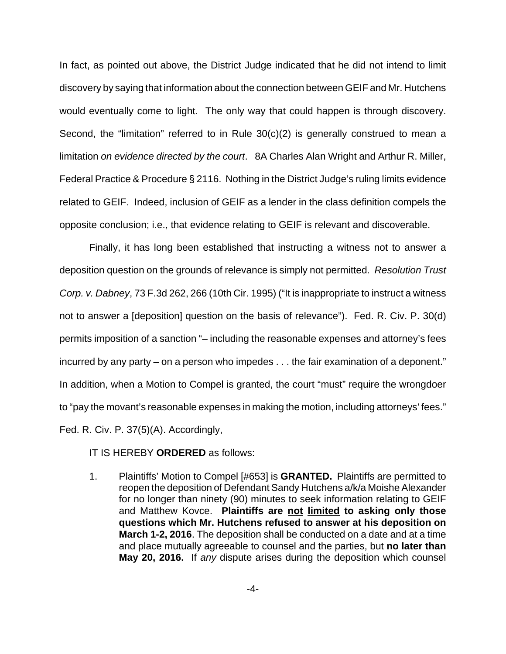In fact, as pointed out above, the District Judge indicated that he did not intend to limit discovery by saying that information about the connection between GEIF and Mr. Hutchens would eventually come to light. The only way that could happen is through discovery. Second, the "limitation" referred to in Rule 30(c)(2) is generally construed to mean a limitation on evidence directed by the court. 8A Charles Alan Wright and Arthur R. Miller, Federal Practice & Procedure § 2116. Nothing in the District Judge's ruling limits evidence related to GEIF. Indeed, inclusion of GEIF as a lender in the class definition compels the opposite conclusion; i.e., that evidence relating to GEIF is relevant and discoverable.

Finally, it has long been established that instructing a witness not to answer a deposition question on the grounds of relevance is simply not permitted. Resolution Trust Corp. v. Dabney, 73 F.3d 262, 266 (10th Cir. 1995) ("It is inappropriate to instruct a witness not to answer a [deposition] question on the basis of relevance"). Fed. R. Civ. P. 30(d) permits imposition of a sanction "– including the reasonable expenses and attorney's fees incurred by any party – on a person who impedes . . . the fair examination of a deponent." In addition, when a Motion to Compel is granted, the court "must" require the wrongdoer to "pay the movant's reasonable expenses in making the motion, including attorneys' fees." Fed. R. Civ. P. 37(5)(A). Accordingly,

IT IS HEREBY **ORDERED** as follows:

1. Plaintiffs' Motion to Compel [#653] is **GRANTED.** Plaintiffs are permitted to reopen the deposition of Defendant Sandy Hutchens a/k/a Moishe Alexander for no longer than ninety (90) minutes to seek information relating to GEIF and Matthew Kovce. **Plaintiffs are not limited to asking only those questions which Mr. Hutchens refused to answer at his deposition on March 1-2, 2016**. The deposition shall be conducted on a date and at a time and place mutually agreeable to counsel and the parties, but **no later than May 20, 2016.** If any dispute arises during the deposition which counsel